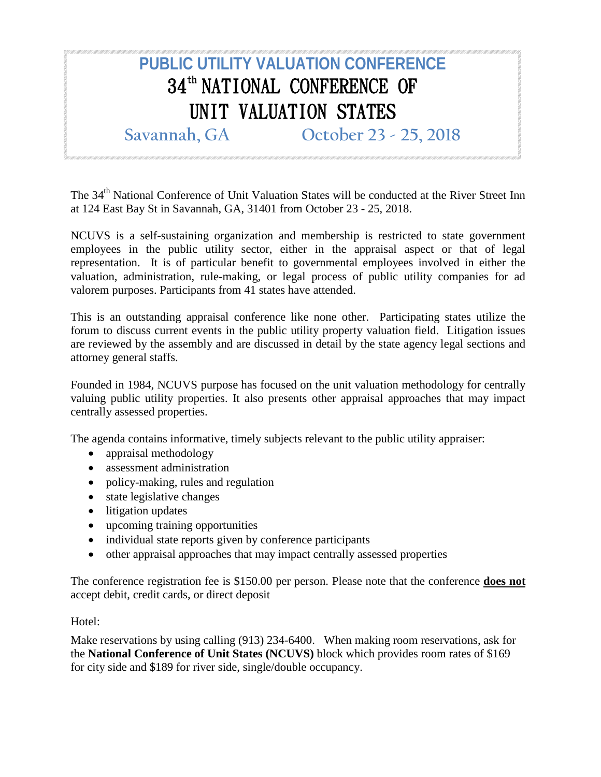## **PUBLIC UTILITY VALUATION CONFERENCE** 34<sup>th</sup> NATIONAL CONFERENCE OF UNIT VALUATION STATES **Savannah, GA October 23 - 25, 2018**

The 34<sup>th</sup> National Conference of Unit Valuation States will be conducted at the River Street Inn at 124 East Bay St in Savannah, GA, 31401 from October 23 - 25, 2018.

NCUVS is a self-sustaining organization and membership is restricted to state government employees in the public utility sector, either in the appraisal aspect or that of legal representation. It is of particular benefit to governmental employees involved in either the valuation, administration, rule-making, or legal process of public utility companies for ad valorem purposes. Participants from 41 states have attended.

This is an outstanding appraisal conference like none other. Participating states utilize the forum to discuss current events in the public utility property valuation field. Litigation issues are reviewed by the assembly and are discussed in detail by the state agency legal sections and attorney general staffs.

Founded in 1984, NCUVS purpose has focused on the unit valuation methodology for centrally valuing public utility properties. It also presents other appraisal approaches that may impact centrally assessed properties.

The agenda contains informative, timely subjects relevant to the public utility appraiser:

- appraisal methodology
- assessment administration
- policy-making, rules and regulation
- state legislative changes
- litigation updates
- upcoming training opportunities
- individual state reports given by conference participants
- other appraisal approaches that may impact centrally assessed properties

The conference registration fee is \$150.00 per person. Please note that the conference **does not** accept debit, credit cards, or direct deposit

## Hotel:

Make reservations by using calling (913) 234-6400. When making room reservations, ask for the **National Conference of Unit States (NCUVS)** block which provides room rates of \$169 for city side and \$189 for river side, single/double occupancy.